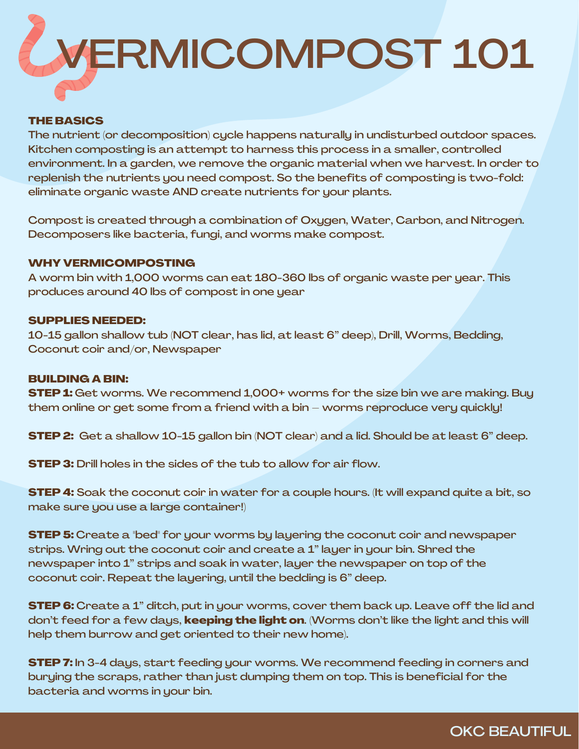

#### THE BASICS

The nutrient (or decomposition) cycle happens naturally in undisturbed outdoor spaces. Kitchen composting is an attempt to harness this process in a smaller, controlled environment. In a garden, we remove the organic material when we harvest. In order to replenish the nutrients you need compost. So the benefits of composting is two-fold: eliminate organic waste AND create nutrients for your plants.

Compost is created through a combination of Oxygen, Water, Carbon, and Nitrogen. Decomposers like bacteria, fungi, and worms make compost.

#### WHY VERMICOMPOSTING

A worm bin with 1,000 worms can eat 180-360 lbs of organic waste per year. This produces around 40 lbs of compost in one year

#### SUPPLIES NEEDED:

10-15 gallon shallow tub (NOT clear, has lid, at least 6" deep), Drill, Worms, Bedding, Coconut coir and/or, Newspaper

#### BUILDING A BIN:

**STEP 1:** Get worms. We recommend 1,000+ worms for the size bin we are making. Buy them online or get some from a friend with a bin – worms reproduce very quickly!

**STEP 2:** Get a shallow 10-15 gallon bin (NOT clear) and a lid. Should be at least 6" deep.

STEP 3: Drill holes in the sides of the tub to allow for air flow.

**STEP 4:** Soak the coconut coir in water for a couple hours. (It will expand quite a bit, so make sure you use a large container!)

**STEP 5:** Create a "bed" for your worms by layering the coconut coir and newspaper strips. Wring out the coconut coir and create a 1" layer in your bin. Shred the newspaper into 1" strips and soak in water, layer the newspaper on top of the coconut coir. Repeat the layering, until the bedding is 6" deep.

**STEP 6:** Create a 1" ditch, put in your worms, cover them back up. Leave off the lid and don't feed for a few days, **keeping the light on**. (Worms don't like the light and this will help them burrow and get oriented to their new home).

**STEP 7:** In 3-4 days, start feeding your worms. We recommend feeding in corners and burying the scraps, rather than just dumping them on top. This is beneficial for the bacteria and worms in your bin.